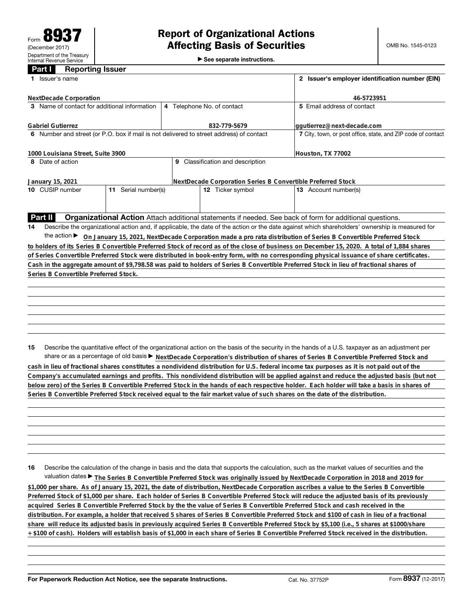►<br>► See separate instructions.

## **Part I Reporting Issuer**

| Issuer's name                                                                           | 2 Issuer's employer identification number (EIN)              |                                                                                                                                                 |  |  |
|-----------------------------------------------------------------------------------------|--------------------------------------------------------------|-------------------------------------------------------------------------------------------------------------------------------------------------|--|--|
| NextDecade Corporation                                                                  | 46-5723951                                                   |                                                                                                                                                 |  |  |
| 3 Name of contact for additional information                                            | 4 Telephone No. of contact                                   | 5 Email address of contact                                                                                                                      |  |  |
| <b>Gabriel Gutierrez</b>                                                                | 832-779-5679                                                 | ggutierrez@next-decade.com                                                                                                                      |  |  |
| 6 Number and street (or P.O. box if mail is not delivered to street address) of contact | 7 City, town, or post office, state, and ZIP code of contact |                                                                                                                                                 |  |  |
| 1000 Louisiana Street, Suite 3900                                                       | Houston, TX 77002                                            |                                                                                                                                                 |  |  |
| 8 Date of action                                                                        | 9 Classification and description                             |                                                                                                                                                 |  |  |
| NextDecade Corporation Series B Convertible Preferred Stock<br>January 15, 2021         |                                                              |                                                                                                                                                 |  |  |
| 11 Serial number(s)<br>10 CUSIP number                                                  | 12 Ticker symbol                                             | 13 Account number(s)                                                                                                                            |  |  |
|                                                                                         |                                                              |                                                                                                                                                 |  |  |
| Part II                                                                                 |                                                              | Organizational Action Attach additional statements if needed. See back of form for additional questions.                                        |  |  |
| 14                                                                                      |                                                              | Describe the organizational action and, if applicable, the date of the action or the date against which shareholders' ownership is measured for |  |  |
|                                                                                         |                                                              | the action > On January 15, 2021, NextDecade Corporation made a pro rata distribution of Series B Convertible Preferred Stock                   |  |  |
|                                                                                         |                                                              | to holders of its Series B Convertible Preferred Stock of record as of the close of business on December 15, 2020. A total of 1,884 shares      |  |  |
|                                                                                         |                                                              | of Series Convertible Preferred Stock were distributed in book-entry form, with no corresponding physical issuance of share certificates.       |  |  |
|                                                                                         |                                                              | Cash in the aggregate amount of \$9,798.58 was paid to holders of Series B Convertible Preferred Stock in lieu of fractional shares of          |  |  |
| Series B Convertible Preferred Stock.                                                   |                                                              |                                                                                                                                                 |  |  |
|                                                                                         |                                                              |                                                                                                                                                 |  |  |
|                                                                                         |                                                              |                                                                                                                                                 |  |  |
|                                                                                         |                                                              |                                                                                                                                                 |  |  |
|                                                                                         |                                                              |                                                                                                                                                 |  |  |
|                                                                                         |                                                              |                                                                                                                                                 |  |  |
|                                                                                         |                                                              |                                                                                                                                                 |  |  |
| 15                                                                                      |                                                              | Describe the quantitative effect of the organizational action on the basis of the security in the hands of a U.S. taxpayer as an adjustment per |  |  |
|                                                                                         |                                                              | share or as a percentage of old basis > NextDecade Corporation's distribution of shares of Series B Convertible Preferred Stock and             |  |  |

**cash in lieu of fractional shares constitutes a nondividend distribution for U.S. federal income tax purposes as it is not paid out of the Company's accumulated earnings and profits. This nondividend distribution will be applied against and reduce the adjusted basis (but not below zero) of the Series B Convertible Preferred Stock in the hands of each respective holder. Each holder will take a basis in shares of Series B Convertible Preferred Stock received equal to the fair market value of such shares on the date of the distribution.**

**16** Describe the calculation of the change in basis and the data that supports the calculation, such as the market values of securities and the valuation dates ▶ The Series B Convertible Preferred Stock was originally issued by NextDecade Corporation in 2018 and 2019 for **\$1,000 per share. As of January 15, 2021, the date of distribution, NextDecade Corporation ascribes a value to the Series B Convertible Preferred Stock of \$1,000 per share. Each holder of Series B Convertible Preferred Stock will reduce the adjusted basis of its previously acquired Series B Convertible Preferred Stock by the the value of Series B Convertible Preferred Stock and cash received in the distribution. For example, a holder that received 5 shares of Series B Convertible Preferred Stock and \$100 of cash in lieu of a fractional share will reduce its adjusted basis in previously acquired Series B Convertible Preferred Stock by \$5,100 (i.e., 5 shares at \$1000/share + \$100 of cash). Holders will establish basis of \$1,000 in each share of Series B Convertible Preferred Stock received in the distribution.**